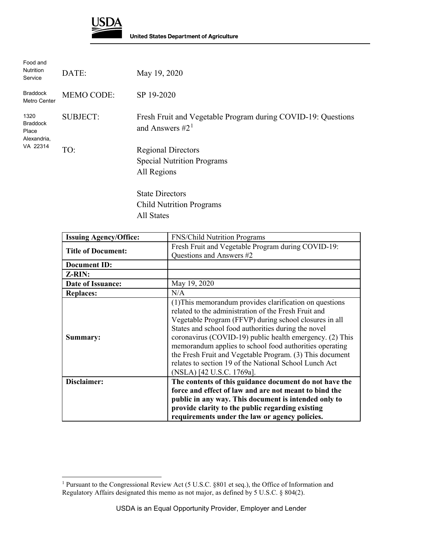

| Food and<br>Nutrition<br>Service                            | DATE:             | May 19, 2020                                                                      |
|-------------------------------------------------------------|-------------------|-----------------------------------------------------------------------------------|
| <b>Braddock</b><br>Metro Center                             | <b>MEMO CODE:</b> | SP 19-2020                                                                        |
| 1320<br><b>Braddock</b><br>Place<br>Alexandria,<br>VA 22314 | <b>SUBJECT:</b>   | Fresh Fruit and Vegetable Program during COVID-19: Questions<br>and Answers $#21$ |
|                                                             | TO:               | <b>Regional Directors</b><br><b>Special Nutrition Programs</b><br>All Regions     |
|                                                             |                   | <b>State Directors</b>                                                            |
|                                                             |                   | <b>Child Nutrition Programs</b>                                                   |

All States

| <b>Issuing Agency/Office:</b> | FNS/Child Nutrition Programs                                                                                                                                                                                                                                                                                                                                                                                                                                                                               |
|-------------------------------|------------------------------------------------------------------------------------------------------------------------------------------------------------------------------------------------------------------------------------------------------------------------------------------------------------------------------------------------------------------------------------------------------------------------------------------------------------------------------------------------------------|
| <b>Title of Document:</b>     | Fresh Fruit and Vegetable Program during COVID-19:<br>Questions and Answers #2                                                                                                                                                                                                                                                                                                                                                                                                                             |
| <b>Document ID:</b>           |                                                                                                                                                                                                                                                                                                                                                                                                                                                                                                            |
| Z-RIN:                        |                                                                                                                                                                                                                                                                                                                                                                                                                                                                                                            |
| <b>Date of Issuance:</b>      | May 19, 2020                                                                                                                                                                                                                                                                                                                                                                                                                                                                                               |
| <b>Replaces:</b>              | N/A                                                                                                                                                                                                                                                                                                                                                                                                                                                                                                        |
| Summary:                      | (1) This memorandum provides clarification on questions<br>related to the administration of the Fresh Fruit and<br>Vegetable Program (FFVP) during school closures in all<br>States and school food authorities during the novel<br>coronavirus (COVID-19) public health emergency. (2) This<br>memorandum applies to school food authorities operating<br>the Fresh Fruit and Vegetable Program. (3) This document<br>relates to section 19 of the National School Lunch Act<br>(NSLA) [42 U.S.C. 1769a]. |
| Disclaimer:                   | The contents of this guidance document do not have the                                                                                                                                                                                                                                                                                                                                                                                                                                                     |
|                               | force and effect of law and are not meant to bind the                                                                                                                                                                                                                                                                                                                                                                                                                                                      |
|                               | public in any way. This document is intended only to                                                                                                                                                                                                                                                                                                                                                                                                                                                       |
|                               | provide clarity to the public regarding existing                                                                                                                                                                                                                                                                                                                                                                                                                                                           |
|                               | requirements under the law or agency policies.                                                                                                                                                                                                                                                                                                                                                                                                                                                             |

<span id="page-0-0"></span> $\overline{a}$ <sup>1</sup> Pursuant to the Congressional Review Act (5 U.S.C. §801 et seq.), the Office of Information and Regulatory Affairs designated this memo as not major, as defined by 5 U.S.C. § 804(2).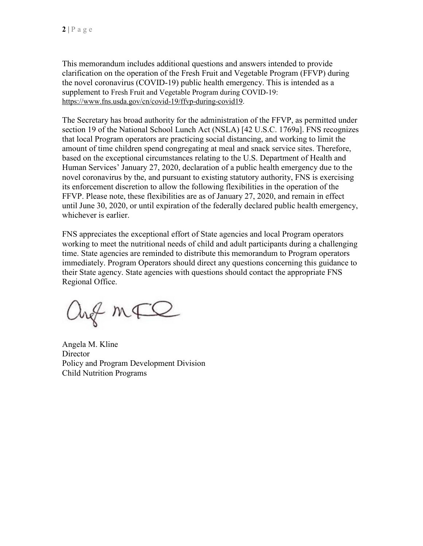This memorandum includes additional questions and answers intended to provide clarification on the operation of the Fresh Fruit and Vegetable Program (FFVP) during the novel coronavirus (COVID-19) public health emergency. This is intended as a supplement to Fresh Fruit and Vegetable Program during COVID-19: [https://www.fns.usda.gov/cn/covid-19/ffvp-during-covid19.](https://www.fns.usda.gov/cn/covid-19/ffvp-during-covid19)

The Secretary has broad authority for the administration of the FFVP, as permitted under section 19 of the National School Lunch Act (NSLA) [42 U.S.C. 1769a]. FNS recognizes that local Program operators are practicing social distancing, and working to limit the amount of time children spend congregating at meal and snack service sites. Therefore, based on the exceptional circumstances relating to the U.S. Department of Health and Human Services' January 27, 2020, declaration of a public health emergency due to the novel coronavirus by the, and pursuant to existing statutory authority, FNS is exercising its enforcement discretion to allow the following flexibilities in the operation of the FFVP. Please note, these flexibilities are as of January 27, 2020, and remain in effect until June 30, 2020, or until expiration of the federally declared public health emergency, whichever is earlier.

FNS appreciates the exceptional effort of State agencies and local Program operators working to meet the nutritional needs of child and adult participants during a challenging time. State agencies are reminded to distribute this memorandum to Program operators immediately. Program Operators should direct any questions concerning this guidance to their State agency. State agencies with questions should contact the appropriate FNS Regional Office.

ang mFQ

Angela M. Kline **Director** Policy and Program Development Division Child Nutrition Programs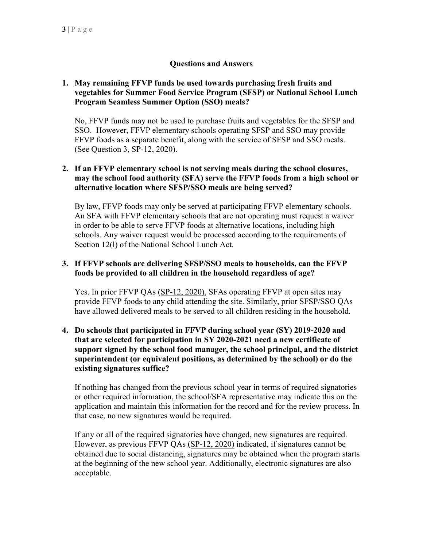# **Questions and Answers**

#### **1. May remaining FFVP funds be used towards purchasing fresh fruits and vegetables for Summer Food Service Program (SFSP) or National School Lunch Program Seamless Summer Option (SSO) meals?**

No, FFVP funds may not be used to purchase fruits and vegetables for the SFSP and SSO. However, FFVP elementary schools operating SFSP and SSO may provide FFVP foods as a separate benefit, along with the service of SFSP and SSO meals. (See Question 3, [SP-12, 2020\)](https://www.fns.usda.gov/cn/covid-19/ffvp-during-covid19).

# **2. If an FFVP elementary school is not serving meals during the school closures, may the school food authority (SFA) serve the FFVP foods from a high school or alternative location where SFSP/SSO meals are being served?**

By law, FFVP foods may only be served at participating FFVP elementary schools. An SFA with FFVP elementary schools that are not operating must request a waiver in order to be able to serve FFVP foods at alternative locations, including high schools. Any waiver request would be processed according to the requirements of Section 12(l) of the National School Lunch Act.

# **3. If FFVP schools are delivering SFSP/SSO meals to households, can the FFVP foods be provided to all children in the household regardless of age?**

Yes. In prior FFVP QAs [\(SP-12, 2020\)](https://www.fns.usda.gov/cn/covid-19/ffvp-during-covid19), SFAs operating FFVP at open sites may provide FFVP foods to any child attending the site. Similarly, prior SFSP/SSO QAs have allowed delivered meals to be served to all children residing in the household.

### **4. Do schools that participated in FFVP during school year (SY) 2019-2020 and that are selected for participation in SY 2020-2021 need a new certificate of support signed by the school food manager, the school principal, and the district superintendent (or equivalent positions, as determined by the school) or do the existing signatures suffice?**

If nothing has changed from the previous school year in terms of required signatories or other required information, the school/SFA representative may indicate this on the application and maintain this information for the record and for the review process. In that case, no new signatures would be required.

If any or all of the required signatories have changed, new signatures are required. However, as previous FFVP QAs [\(SP-12, 2020\)](https://www.fns.usda.gov/cn/covid-19/ffvp-during-covid19) indicated, if signatures cannot be obtained due to social distancing, signatures may be obtained when the program starts at the beginning of the new school year. Additionally, electronic signatures are also acceptable.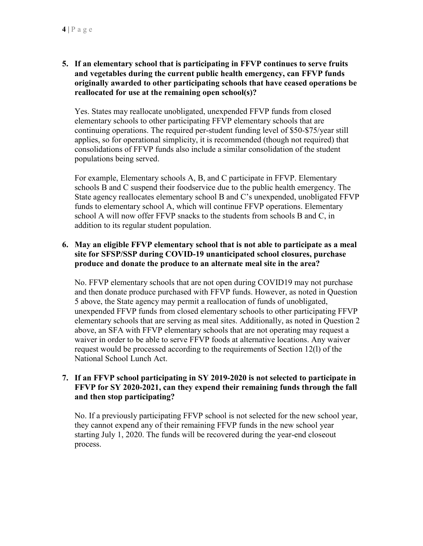**5. If an elementary school that is participating in FFVP continues to serve fruits and vegetables during the current public health emergency, can FFVP funds originally awarded to other participating schools that have ceased operations be reallocated for use at the remaining open school(s)?** 

Yes. States may reallocate unobligated, unexpended FFVP funds from closed elementary schools to other participating FFVP elementary schools that are continuing operations. The required per-student funding level of \$50-\$75/year still applies, so for operational simplicity, it is recommended (though not required) that consolidations of FFVP funds also include a similar consolidation of the student populations being served.

For example, Elementary schools A, B, and C participate in FFVP. Elementary schools B and C suspend their foodservice due to the public health emergency. The State agency reallocates elementary school B and C's unexpended, unobligated FFVP funds to elementary school A, which will continue FFVP operations. Elementary school A will now offer FFVP snacks to the students from schools B and C, in addition to its regular student population.

# **6. May an eligible FFVP elementary school that is not able to participate as a meal site for SFSP/SSP during COVID-19 unanticipated school closures, purchase produce and donate the produce to an alternate meal site in the area?**

No. FFVP elementary schools that are not open during COVID19 may not purchase and then donate produce purchased with FFVP funds. However, as noted in Question 5 above, the State agency may permit a reallocation of funds of unobligated, unexpended FFVP funds from closed elementary schools to other participating FFVP elementary schools that are serving as meal sites. Additionally, as noted in Question 2 above, an SFA with FFVP elementary schools that are not operating may request a waiver in order to be able to serve FFVP foods at alternative locations. Any waiver request would be processed according to the requirements of Section 12(l) of the National School Lunch Act.

# **7. If an FFVP school participating in SY 2019-2020 is not selected to participate in FFVP for SY 2020-2021, can they expend their remaining funds through the fall and then stop participating?**

No. If a previously participating FFVP school is not selected for the new school year, they cannot expend any of their remaining FFVP funds in the new school year starting July 1, 2020. The funds will be recovered during the year-end closeout process.